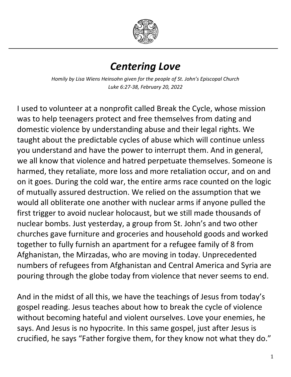

## *Centering Love*

*Homily by Lisa Wiens Heinsohn given for the people of St. John's Episcopal Church Luke 6:27-38, February 20, 2022*

I used to volunteer at a nonprofit called Break the Cycle, whose mission was to help teenagers protect and free themselves from dating and domestic violence by understanding abuse and their legal rights. We taught about the predictable cycles of abuse which will continue unless you understand and have the power to interrupt them. And in general, we all know that violence and hatred perpetuate themselves. Someone is harmed, they retaliate, more loss and more retaliation occur, and on and on it goes. During the cold war, the entire arms race counted on the logic of mutually assured destruction. We relied on the assumption that we would all obliterate one another with nuclear arms if anyone pulled the first trigger to avoid nuclear holocaust, but we still made thousands of nuclear bombs. Just yesterday, a group from St. John's and two other churches gave furniture and groceries and household goods and worked together to fully furnish an apartment for a refugee family of 8 from Afghanistan, the Mirzadas, who are moving in today. Unprecedented numbers of refugees from Afghanistan and Central America and Syria are pouring through the globe today from violence that never seems to end.

And in the midst of all this, we have the teachings of Jesus from today's gospel reading. Jesus teaches about how to break the cycle of violence without becoming hateful and violent ourselves. Love your enemies, he says. And Jesus is no hypocrite. In this same gospel, just after Jesus is crucified, he says "Father forgive them, for they know not what they do."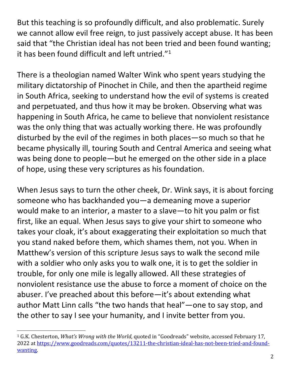But this teaching is so profoundly difficult, and also problematic. Surely we cannot allow evil free reign, to just passively accept abuse. It has been said that "the Christian ideal has not been tried and been found wanting; it has been found difficult and left untried."[1](#page-1-0)

There is a theologian named Walter Wink who spent years studying the military dictatorship of Pinochet in Chile, and then the apartheid regime in South Africa, seeking to understand how the evil of systems is created and perpetuated, and thus how it may be broken. Observing what was happening in South Africa, he came to believe that nonviolent resistance was the only thing that was actually working there. He was profoundly disturbed by the evil of the regimes in both places—so much so that he became physically ill, touring South and Central America and seeing what was being done to people—but he emerged on the other side in a place of hope, using these very scriptures as his foundation.

When Jesus says to turn the other cheek, Dr. Wink says, it is about forcing someone who has backhanded you—a demeaning move a superior would make to an interior, a master to a slave—to hit you palm or fist first, like an equal. When Jesus says to give your shirt to someone who takes your cloak, it's about exaggerating their exploitation so much that you stand naked before them, which shames them, not you. When in Matthew's version of this scripture Jesus says to walk the second mile with a soldier who only asks you to walk one, it is to get the soldier in trouble, for only one mile is legally allowed. All these strategies of nonviolent resistance use the abuse to force a moment of choice on the abuser. I've preached about this before—it's about extending what author Matt Linn calls "the two hands that heal"—one to say stop, and the other to say I see your humanity, and I invite better from you.

<span id="page-1-0"></span> <sup>1</sup> G.K. Chesterton, *What's Wrong with the World*, quoted in "Goodreads" website, accessed February 17, 2022 at [https://www.goodreads.com/quotes/13211-the-christian-ideal-has-not-been-tried-and-found](https://www.goodreads.com/quotes/13211-the-christian-ideal-has-not-been-tried-and-found-wanting)[wanting.](https://www.goodreads.com/quotes/13211-the-christian-ideal-has-not-been-tried-and-found-wanting)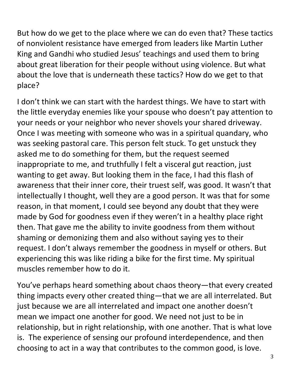But how do we get to the place where we can do even that? These tactics of nonviolent resistance have emerged from leaders like Martin Luther King and Gandhi who studied Jesus' teachings and used them to bring about great liberation for their people without using violence. But what about the love that is underneath these tactics? How do we get to that place?

I don't think we can start with the hardest things. We have to start with the little everyday enemies like your spouse who doesn't pay attention to your needs or your neighbor who never shovels your shared driveway. Once I was meeting with someone who was in a spiritual quandary, who was seeking pastoral care. This person felt stuck. To get unstuck they asked me to do something for them, but the request seemed inappropriate to me, and truthfully I felt a visceral gut reaction, just wanting to get away. But looking them in the face, I had this flash of awareness that their inner core, their truest self, was good. It wasn't that intellectually I thought, well they are a good person. It was that for some reason, in that moment, I could see beyond any doubt that they were made by God for goodness even if they weren't in a healthy place right then. That gave me the ability to invite goodness from them without shaming or demonizing them and also without saying yes to their request. I don't always remember the goodness in myself or others. But experiencing this was like riding a bike for the first time. My spiritual muscles remember how to do it.

You've perhaps heard something about chaos theory—that every created thing impacts every other created thing—that we are all interrelated. But just because we are all interrelated and impact one another doesn't mean we impact one another for good. We need not just to be in relationship, but in right relationship, with one another. That is what love is. The experience of sensing our profound interdependence, and then choosing to act in a way that contributes to the common good, is love.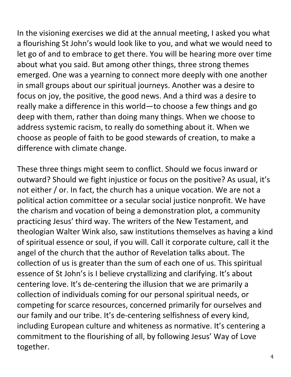In the visioning exercises we did at the annual meeting, I asked you what a flourishing St John's would look like to you, and what we would need to let go of and to embrace to get there. You will be hearing more over time about what you said. But among other things, three strong themes emerged. One was a yearning to connect more deeply with one another in small groups about our spiritual journeys. Another was a desire to focus on joy, the positive, the good news. And a third was a desire to really make a difference in this world—to choose a few things and go deep with them, rather than doing many things. When we choose to address systemic racism, to really do something about it. When we choose as people of faith to be good stewards of creation, to make a difference with climate change.

These three things might seem to conflict. Should we focus inward or outward? Should we fight injustice or focus on the positive? As usual, it's not either / or. In fact, the church has a unique vocation. We are not a political action committee or a secular social justice nonprofit. We have the charism and vocation of being a demonstration plot, a community practicing Jesus' third way. The writers of the New Testament, and theologian Walter Wink also, saw institutions themselves as having a kind of spiritual essence or soul, if you will. Call it corporate culture, call it the angel of the church that the author of Revelation talks about. The collection of us is greater than the sum of each one of us. This spiritual essence of St John's is I believe crystallizing and clarifying. It's about centering love. It's de-centering the illusion that we are primarily a collection of individuals coming for our personal spiritual needs, or competing for scarce resources, concerned primarily for ourselves and our family and our tribe. It's de-centering selfishness of every kind, including European culture and whiteness as normative. It's centering a commitment to the flourishing of all, by following Jesus' Way of Love together.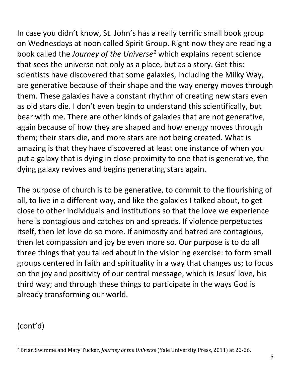In case you didn't know, St. John's has a really terrific small book group on Wednesdays at noon called Spirit Group. Right now they are reading a book called the *Journey of the Universe[2](#page-4-0)* which explains recent science that sees the universe not only as a place, but as a story. Get this: scientists have discovered that some galaxies, including the Milky Way, are generative because of their shape and the way energy moves through them. These galaxies have a constant rhythm of creating new stars even as old stars die. I don't even begin to understand this scientifically, but bear with me. There are other kinds of galaxies that are not generative, again because of how they are shaped and how energy moves through them; their stars die, and more stars are not being created. What is amazing is that they have discovered at least one instance of when you put a galaxy that is dying in close proximity to one that is generative, the dying galaxy revives and begins generating stars again.

The purpose of church is to be generative, to commit to the flourishing of all, to live in a different way, and like the galaxies I talked about, to get close to other individuals and institutions so that the love we experience here is contagious and catches on and spreads. If violence perpetuates itself, then let love do so more. If animosity and hatred are contagious, then let compassion and joy be even more so. Our purpose is to do all three things that you talked about in the visioning exercise: to form small groups centered in faith and spirituality in a way that changes us; to focus on the joy and positivity of our central message, which is Jesus' love, his third way; and through these things to participate in the ways God is already transforming our world.

(cont'd)

<span id="page-4-0"></span> <sup>2</sup> Brian Swimme and Mary Tucker, *Journey of the Universe* (Yale University Press, 2011) at 22-26.